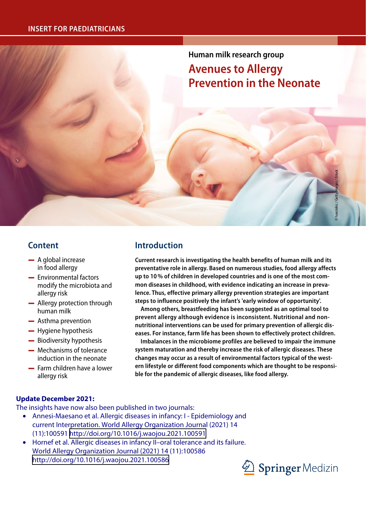# **Human milk research group**

# **Avenues to Allergy Prevention in the Neonate**

# **Content**

- $-$  A global increase in food allergy
- $-$  Environmental factors modify the microbiota and allergy risk
- $-$  Allergy protection through human milk
- $-$  Asthma prevention
- $-$  Hygiene hypothesis
- Biodiversity hypothesis
- $\equiv$  Mechanisms of tolerance induction in the neonate
- $\equiv$  Farm children have a lower allergy risk

# **Introduction**

**Current research is investigating the health benefits of human milk and its preventative role in allergy. Based on numerous studies, food allergy affects up to 10% of children in developed countries and is one of the most common diseases in childhood, with evidence indicating an increase in prevalence. Thus, effective primary allergy prevention strategies are important steps to influence positively the infant's 'early window of opportunity'.** 

**Among others, breastfeeding has been suggested as an optimal tool to prevent allergy although evidence is inconsistent. Nutritional and nonnutritional interventions can be used for primary prevention of allergic diseases. For instance, farm life has been shown to effectively protect children.** 

**Imbalances in the microbiome profiles are believed to impair the immune system maturation and thereby increase the risk of allergic diseases. These changes may occur as a result of environmental factors typical of the western lifestyle or different food components which are thought to be responsible for the pandemic of allergic diseases, like food allergy.**

### **Update December 2021:**

The insights have now also been published in two journals:

- Annesi-Maesano et al. Allergic diseases in infancy: I Epidemiology and current Interpretation. World Allergy Organization Journal (2021) 14 (11):100591 <http://doi.org/10.1016/j.waojou.2021.100591>
- Hornef et al. Allergic diseases in infancy II–oral tolerance and its failure. World Allergy Organization Journal (2021) 14 (11):100586 <http://doi.org/10.1016/j.waojou.2021.100586>



© IvanJekic / Getty Images / iStock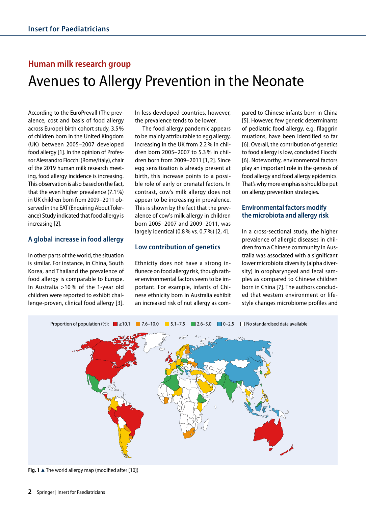# **Human milk research group** Avenues to Allergy Prevention in the Neonate

According to the EuroPrevall (The prevalence, cost and basis of food allergy across Europe) birth cohort study, 3.5% of children born in the United Kingdom (UK) between 2005–2007 developed food allergy [1]. In the opinion of Professor Alessandro Fiocchi (Rome/Italy), chair of the 2019 human milk research meeting, food allergy incidence is increasing. This observation is also based on the fact, that the even higher prevalence (7.1%) in UK children born from 2009–2011 observed in the EAT (Enquiring About Tolerance) Study indicated that food allergy is increasing [2].

#### **A global increase in food allergy**

In other parts of the world, the situation is similar. For instance, in China, South Korea, and Thailand the prevalence of food allergy is comparable to Europe. In Australia >10 % of the 1-year old children were reported to exhibit challenge-proven, clinical food allergy [3].

In less developed countries, however, the prevalence tends to be lower.

The food allergy pandemic appears to be mainly attributable to egg allergy, increasing in the UK from 2.2% in children born 2005–2007 to 5.3 % in children born from 2009–2011 [1, 2]. Since egg sensitization is already present at birth, this increase points to a possible role of early or prenatal factors. In contrast, cow's milk allergy does not appear to be increasing in prevalence. This is shown by the fact that the prevalence of cow's milk allergy in children born 2005–2007 and 2009–2011, was largely identical (0.8% vs. 0.7%) [2, 4].

### **Low contribution of genetics**

Ethnicity does not have a strong influnece on food allergy risk, though rather environmental factors seem to be important. For example, infants of Chinese ethnicity born in Australia exhibit an increased risk of nut allergy as compared to Chinese infants born in China [5]. However, few genetic determinants of pediatric food allergy, e.g. filaggrin muations, have been identified so far [6]. Overall, the contribution of genetics to food allergy is low, concluded Fiocchi [6]. Noteworthy, environmental factors play an important role in the genesis of food allergy and food allergy epidemics. That's why more emphasis should be put on allergy prevention strategies.

### **Environmental factors modify the microbiota and allergy risk**

In a cross-sectional study, the higher prevalence of allergic diseases in children from a Chinese community in Australia was associated with a significant lower microbiota diversity (alpha diversity) in oropharyngeal and fecal samples as compared to Chinese children born in China [7]. The authors concluded that western environment or lifestyle changes microbiome profiles and

#### Proportion of population (%):  $\Box$  >10.1  $\Box$  7.6–10.0  $\Box$  5.1–7.5  $\Box$  2.6–5.0  $\Box$  0–2.5  $\Box$  No standardised data available



**Fig. 1 A** The world allergy map (modified after [10])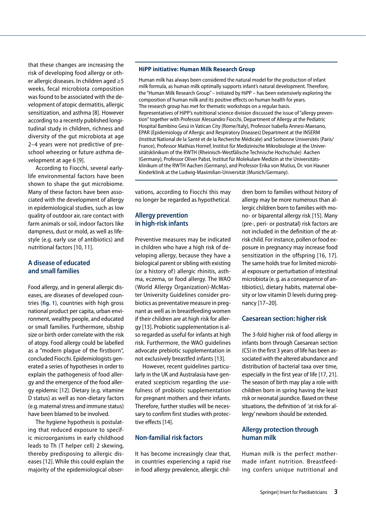that these changes are increasing the risk of developing food allergy or other allergic diseases. In children aged ≥5 weeks, fecal microbiota composition was found to be associated with the development of atopic dermatitis, allergic sensitization, and asthma [8]. However according to a recently published longitudinal study in children, richness and diversity of the gut microbiota at age 2–4 years were not predictive of preschool wheezing or future asthma development at age 6 [9].

According to Fiocchi, several earlylife environmental factors have been shown to shape the gut microbiome. Many of these factors have been associated with the development of allergy in epidemiological studies, such as low quality of outdoor air, rare contact with farm animals or soil, indoor factors like dampness, dust or mold, as well as lifestyle (e.g. early use of antibiotics) and nutritional factors [10, 11].

#### **A disease of educated and small families**

Food allergy, and in general allergic diseases, are diseases of developed countries (**fig. 1**), countries with high gross national product per capita, urban environment, wealthy people, and educated or small families. Furthermore, sibship size or birth order correlate with the risk of atopy. Food allergy could be labelled as a "modern plague of the firstborn", concluded Fiocchi. Epidemiologists generated a series of hypotheses in order to explain the pathogenesis of food allergy and the emergence of the food allergy epidemic [12]. Dietary (e.g. vitamine D status) as well as non-dietary factors (e.g. maternal stress and immune status) have been blamed to be involved.

The hygiene hypothesis is postulating that reduced exposure to specific microorganisms in early childhood leads to Th (T helper cell) 2 skewing, thereby predisposing to allergic diseases [12]. While this could explain the majority of the epidemiological obser-

#### **HiPP initiative: Human Milk Research Group**

Human milk has always been considered the natural model for the production of infant milk formula, as human milk optimally supports infant's natural development. Therefore, the "Human Milk Research Group" – initiated by HiPP – has been extensively exploring the composition of human milk and its positive effects on human health for years. The research group has met for thematic workshops on a regular basis. Representatives of HiPP's nutritional science division discussed the issue of "allergy prevention" together with Professor Alessandro Fiocchi, Department of Allergy at the Pediatric Hospital Bambino Gesú in Vatican City (Rome/Italy), Professor Isabella Annesi-Maesano, EPAR (Epidemiology of Allergic and Respiratory Diseases) Department at the INSERM (Institut National de la Santé et de la Recherche Médicale) and Sorbonne Universités (Paris/ France), Professor Mathias Hornef, Institut für Medizinische Mikrobiologie at the Universitätsklinikum of the RWTH (Rheinisch-Westfälische Technische Hochschule) Aachen (Germany), Professor Oliver Pabst, Institut für Molekulare Medizin at the Universitätsklinikum of the RWTH Aachen (Germany), and Professor Erika von Mutius, Dr. von Hauner Kinderklinik at the Ludwig-Maximilian-Universität (Munich/Germany).

vations, according to Fiocchi this may no longer be regarded as hypothetical.

#### **Allergy prevention in high-risk infants**

Preventive measures may be indicated in children who have a high risk of developing allergy, because they have a biological parent or sibling with existing (or a history of) allergic rhinitis, asthma, eczema, or food allergy. The WAO (World Allergy Organization)-McMaster University Guidelines consider probiotics as preventative measure in pregnant as well as in breastfeeding women if their children are at high risk for allergy [13]. Probiotic supplementation is also regarded as useful for infants at high risk. Furthermore, the WAO guidelines advocate prebiotic supplementation in not exclusively breastfed infants [13].

However, recent guidelines particularly in the UK and Australasia have generated scepticism regarding the usefulness of probiotic supplementation for pregnant mothers and their infants. Therefore, further studies will be necessary to confirm first studies with protective effects [14].

#### **Non-familial risk factors**

It has become increasingly clear that, in countries experiencing a rapid rise in food allergy prevalence, allergic children born to families without history of allergy may be more numerous than allergic children born to families with mono- or biparental allergy risk [15]. Many (pre-, peri- or postnatal) risk factors are not included in the definition of the atrisk child. For instance, pollen or food exposure in pregnancy may increase food sensitization in the offspring [16, 17]. The same holds true for limited microbial exposure or perturbation of intestinal microbiota (e.g. as a consequence of antibiotics), dietary habits, maternal obesity or low vitamin D levels during pregnancy [17–20].

#### **Caesarean section: higher risk**

The 3-fold higher risk of food allergy in infants born through Caesarean section (CS) in the first 3 years of life has been associated with the altered abundance and distribution of bacterial taxa over time, especially in the first year of life [17, 21]. The season of birth may play a role with children born in spring having the least risk or neonatal jaundice. Based on these situations, the definition of 'at risk for allergy' newborn should be extended.

#### **Allergy protection through human milk**

Human milk is the perfect mothermade infant nutrition. Breastfeeding confers unique nutritional and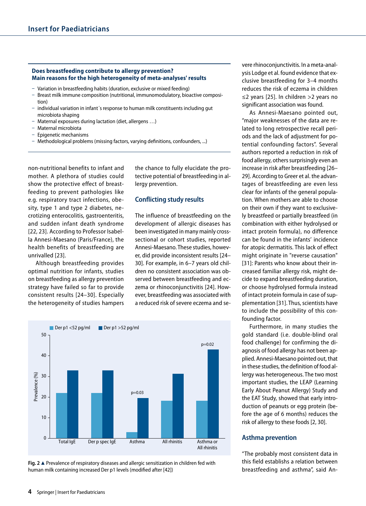#### **Does breastfeeding contribute to allergy prevention? Main reasons for the high heterogeneity of meta-analyses' results**

- Variation in breastfeeding habits (duration, exclusive or mixed feeding)
- Breast milk immune composition (nutritional, immunomodulatory, bioactive composition)
- ū individual variation in infant´s response to human milk constituents including gut microbiota shaping
- Maternal exposures during lactation (diet, allergens ...)
- ū Maternal microbiota
- ū Epigenetic mechanisms
- Methodological problems (missing factors, varying definitions, confounders, ...)

non-nutritional benefits to infant and mother. A plethora of studies could show the protective effect of breastfeeding to prevent pathologies like e.g. respiratory tract infections, obesity, type 1 and type 2 diabetes, necrotizing enterocolitis, gastroenteritis, and sudden infant death syndrome [22, 23]. According to Professor Isabella Annesi-Maesano (Paris/France), the health benefits of breastfeeding are unrivalled [23].

Although breastfeeding provides optimal nutrition for infants, studies on breastfeeding as allergy prevention strategy have failed so far to provide consistent results [24–30]. Especially the heterogeneity of studies hampers the chance to fully elucidate the protective potential of breastfeeding in allergy prevention.

#### **Conflicting study results**

The influence of breastfeeding on the development of allergic diseases has been investigated in many mainly crosssectional or cohort studies, reported Annesi-Maesano. These studies, however, did provide inconsistent results [24– 30]. For example, in 6–7 years old children no consistent association was observed between breastfeeding and eczema or rhinoconjunctivitis [24]. However, breastfeeding was associated with a reduced risk of severe eczema and se-





vere rhinoconjunctivitis. In a meta-analysis Lodge et al. found evidence that exclusive breastfeeding for 3–4 months reduces the risk of eczema in children ≤2 years [25]. In children >2 years no significant association was found.

As Annesi-Maesano pointed out, "major weaknesses of the data are related to long retrospective recall periods and the lack of adjustment for potential confounding factors". Several authors reported a reduction in risk of food allergy, others surprisingly even an increase in risk after breastfeeding [26– 29]. According to Greer et al. the advantages of breastfeeding are even less clear for infants of the general population. When mothers are able to choose on their own if they want to exclusively breastfeed or partially breastfeed (in combination with either hydrolysed or intact protein formula), no difference can be found in the infants' incidence for atopic dermatitis. This lack of effect might originate in "reverse causation" [31]: Parents who know about their increased familiar allergy risk, might decide to expand breastfeeding duration, or choose hydrolysed formula instead of intact protein formula in case of supplementation [31]. Thus, scientists have to include the possibility of this confounding factor.

Furthermore, in many studies the gold standard (i.e. double-blind oral food challenge) for confirming the diagnosis of food allergy has not been applied. Annesi-Maesano pointed out, that in these studies, the definition of food allergy was heterogeneous. The two most important studies, the LEAP (Learning Early About Peanut Allergy) Study and the EAT Study, showed that early introduction of peanuts or egg protein (before the age of 6 months) reduces the risk of allergy to these foods [2, 30].

#### **Asthma prevention**

"The probably most consistent data in this field establishs a relation between breastfeeding and asthma", said An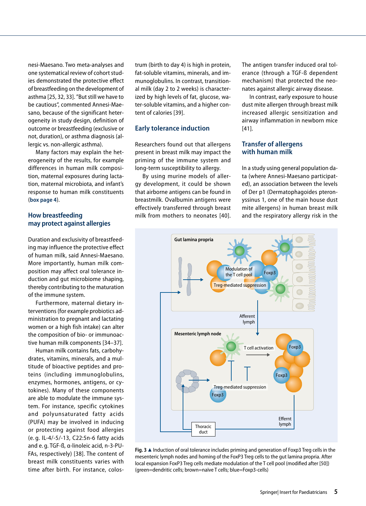nesi-Maesano. Two meta-analyses and one systematical review of cohort studies demonstrated the protective effect of breastfeeding on the development of asthma [25, 32, 33]. "But still we have to be cautious", commented Annesi-Maesano, because of the significant heterogeneity in study design, definition of outcome or breastfeeding (exclusive or not, duration), or asthma diagnosis (allergic vs. non-allergic asthma).

Many factors may explain the heterogeneity of the results, for example differences in human milk composition, maternal exposures during lactation, maternal microbiota, and infant's response to human milk constituents (**box page 4**).

#### **How breastfeeding may protect against allergies**

Duration and exclusivity of breastfeeding may influence the protective effect of human milk, said Annesi-Maesano. More importantly, human milk composition may affect oral tolerance induction and gut microbiome shaping, thereby contributing to the maturation of the immune system.

Furthermore, maternal dietary interventions (for example probiotics administration to pregnant and lactating women or a high fish intake) can alter the composition of bio- or immunoactive human milk components [34–37].

Human milk contains fats, carbohydrates, vitamins, minerals, and a multitude of bioactive peptides and proteins (including immunoglobulins, enzymes, hormones, antigens, or cytokines). Many of these components are able to modulate the immune system. For instance, specific cytokines and polyunsaturated fatty acids (PUFA) may be involved in inducing or protecting against food allergies (e. g. IL-4/-5/-13, C22:5n-6 fatty acids and e. g. TGF-ß, α-linoleic acid, n-3-PU-FAs, respectively) [38]. The content of breast milk constituents varies with time after birth. For instance, colostrum (birth to day 4) is high in protein, fat-soluble vitamins, minerals, and immunoglobulins. In contrast, transitional milk (day 2 to 2 weeks) is characterized by high levels of fat, glucose, water-soluble vitamins, and a higher content of calories [39].

#### **Early tolerance induction**

Researchers found out that allergens present in breast milk may impact the priming of the immune system and long-term susceptibility to allergy.

By using murine models of allergy development, it could be shown that airborne antigens can be found in breastmilk. Ovalbumin antigens were effectively transferred through breast milk from mothers to neonates [40].

The antigen transfer induced oral tolerance (through a TGF-ß dependent mechanism) that protected the neonates against allergic airway disease.

In contrast, early exposure to house dust mite allergen through breast milk increased allergic sensitization and airway inflammation in newborn mice [41].

#### **Transfer of allergens with human milk**

In a study using general population data (where Annesi-Maesano participated), an association between the levels of Der p1 (Dermatophagoides pteronyssinus 1, one of the main house dust mite allergens) in human breast milk and the respiratory allergy risk in the



**Fig. 3** 8 Induction of oral tolerance includes priming and generation of Foxp3 Treg cells in the mesenteric lymph nodes and homing of the FoxP3 Treg cells to the gut lamina propria. After local expansion FoxP3 Treg cells mediate modulation of the T cell pool (modified after [50]) (green=dendritic cells; brown=naïve T cells; blue=Foxp3-cells)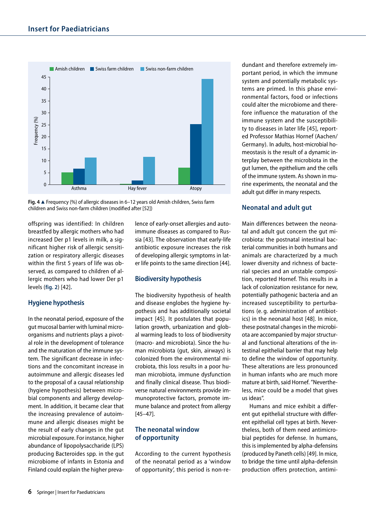

**Fig. 4** 8 Frequency (%) of allergic diseases in 6–12 years old Amish children, Swiss farm children and Swiss non-farm children (modified after [52])

offspring was identified: In children breastfed by allergic mothers who had increased Der p1 levels in milk, a significant higher risk of allergic sensitization or respiratory allergic diseases within the first 5 years of life was observed, as compared to children of allergic mothers who had lower Der p1 levels (**fig. 2**) [42]**.**

### **Hygiene hypothesis**

In the neonatal period, exposure of the gut mucosal barrier with luminal microorganisms and nutrients plays a pivotal role in the development of tolerance and the maturation of the immune system. The significant decrease in infections and the concomitant increase in autoimmune and allergic diseases led to the proposal of a causal relationship (hygiene hypothesis) between microbial components and allergy development. In addition, it became clear that the increasing prevalence of autoimmune and allergic diseases might be the result of early changes in the gut microbial exposure. For instance, higher abundance of lipopolysaccharide (LPS) producing Bacteroides spp. in the gut microbiome of infants in Estonia and Finland could explain the higher prevalence of early-onset allergies and autoimmune diseases as compared to Russia [43]. The observation that early-life antibiotic exposure increases the risk of developing allergic symptoms in later life points to the same direction [44].

### **Biodiversity hypothesis**

The biodiversity hypothesis of health and disease englobes the hygiene hypothesis and has additionally societal impact [45]. It postulates that population growth, urbanization and global warming leads to loss of biodiversity (macro- and microbiota). Since the human microbiota (gut, skin, airways) is colonized from the environmental microbiota, this loss results in a poor human microbiota, immune dysfunction and finally clinical disease. Thus biodiverse natural environments provide immunoprotective factors, promote immune balance and protect from allergy [45–47].

#### **The neonatal window of opportunity**

According to the current hypothesis of the neonatal period as a 'window of opportunity', this period is non-redundant and therefore extremely important period, in which the immune system and potentially metabolic systems are primed. In this phase environmental factors, food or infections could alter the microbiome and therefore influence the maturation of the immune system and the susceptibility to diseases in later life [45], reported Professor Mathias Hornef (Aachen/ Germany). In adults, host-microbial homeostasis is the result of a dynamic interplay between the microbiota in the gut lumen, the epithelium and the cells of the immune system. As shown in murine experiments, the neonatal and the adult gut differ in many respects.

## **Neonatal and adult gut**

Main differences between the neonatal and adult gut concern the gut microbiota: the postnatal intestinal bacterial communities in both humans and animals are characterized by a much lower diversity and richness of bacterial species and an unstable composition, reported Hornef. This results in a lack of colonization resistance for new, potentially pathogenic bacteria and an increased susceptibility to perturbations (e. g. administration of antibiotics) in the neonatal host [48]. In mice, these postnatal changes in the microbiota are accompanied by major structural and functional alterations of the intestinal epithelial barrier that may help to define the window of opportunity. These alterations are less pronounced in human infants who are much more mature at birth, said Hornef. "Nevertheless, mice could be a model that gives us ideas".

Humans and mice exhibit a different gut epithelial structure with different epithelial cell types at birth. Nevertheless, both of them need antimicrobial peptides for defense. In humans, this is implemented by alpha-defensins (produced by Paneth cells) [49]. In mice, to bridge the time until alpha-defensin production offers protection, antimi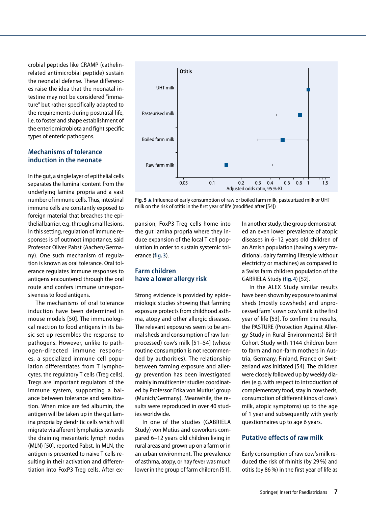crobial peptides like CRAMP (cathelinrelated antimicrobial peptide) sustain the neonatal defense. These differences raise the idea that the neonatal intestine may not be considered "immature" but rather specifically adapted to the requirements during postnatal life, i.e. to foster and shape establishment of the enteric microbiota and fight specific types of enteric pathogens.

#### **Mechanisms of tolerance induction in the neonate**

In the gut, a single layer of epithelial cells separates the luminal content from the underlying lamina propria and a vast number of immune cells. Thus, intestinal immune cells are constantly exposed to foreign material that breaches the epithelial barrier, e.g. through small lesions. In this setting, regulation of immune responses is of outmost importance, said Professor Oliver Pabst (Aachen/Germany). One such mechanism of regulation is known as oral tolerance. Oral tolerance regulates immune responses to antigens encountered through the oral route and confers immune unresponsiveness to food antigens.

The mechanisms of oral tolerance induction have been determined in mouse models [50]. The immunological reaction to food antigens in its basic set up resembles the response to pathogens. However, unlike to pathogen-directed immune responses, a specialized immune cell population differentiates from T lymphocytes, the regulatory T cells (Treg cells). Tregs are important regulators of the immune system, supporting a balance between tolerance and sensitization. When mice are fed albumin, the antigen will be taken up in the gut lamina propria by dendritic cells which will migrate via afferent lymphatics towards the draining mesenteric lymph nodes (MLN) [50], reported Pabst. In MLN, the antigen is presented to naive T cells resulting in their activation and differentiation into FoxP3 Treg cells. After ex-



Fig. 5 ▲ Influence of early consumption of raw or boiled farm milk, pasteurized milk or UHT milk on the risk of otitis in the first year of life (modified after [54])

pansion, FoxP3 Treg cells home into the gut lamina propria where they induce expansion of the local T cell population in order to sustain systemic tolerance (**fig. 3**).

### **Farm children have a lower allergy risk**

Strong evidence is provided by epidemiologic studies showing that farming exposure protects from childhood asthma, atopy and other allergic diseases. The relevant exposures seem to be animal sheds and consumption of raw (unprocessed) cow's milk [51–54] (whose routine consumption is not recommended by authorities). The relationship between farming exposure and allergy prevention has been investigated mainly in multicenter studies coordinated by Professor Erika von Mutius' group (Munich/Germany). Meanwhile, the results were reproduced in over 40 studies worldwide.

In one of the studies (GABRIELA Study) von Mutius and coworkers compared 6–12 years old children living in rural areas and grown up on a farm or in an urban environment. The prevalence of asthma, atopy, or hay fever was much lower in the group of farm children [51].

In another study, the group demonstrated an even lower prevalence of atopic diseases in 6–12 years old children of an Amish population (having a very traditional, dairy farming lifestyle without electricity or machines) as compared to a Swiss farm children population of the GABRIELA Study (**fig. 4**) [52].

In the ALEX Study similar results have been shown by exposure to animal sheds (mostly cowsheds) and unprocessed farm´s own cow's milk in the first year of life [53]. To confirm the results, the PASTURE (Protection Against Allergy Study in Rural Environments) Birth Cohort Study with 1144 children born to farm and non-farm mothers in Austria, Germany, Finland, France or Switzerland was initiated [54]. The children were closely followed up by weekly diaries (e.g. with respect to introduction of complementary food, stay in cowsheds, consumption of different kinds of cow's milk, atopic symptoms) up to the age of 1 year and subsequently with yearly questionnaires up to age 6 years.

## **Putative effects of raw milk**

Early consumption of raw cow's milk reduced the risk of rhinitis (by 29%) and otitis (by 86%) in the first year of life as